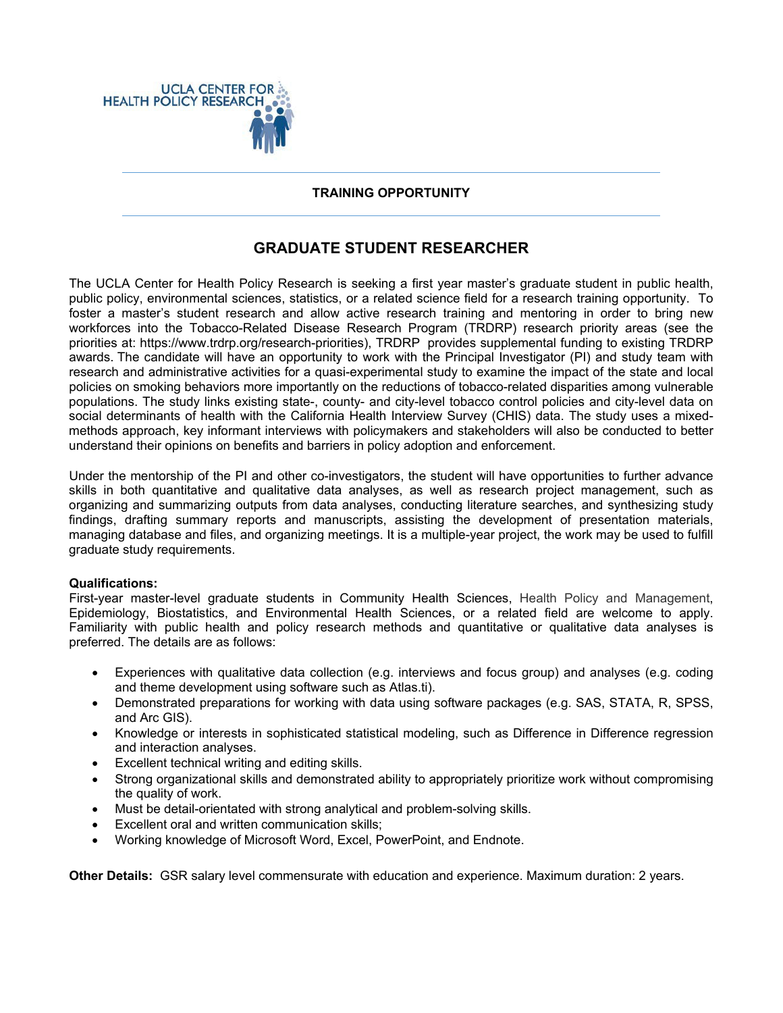

## **TRAINING OPPORTUNITY**

## **GRADUATE STUDENT RESEARCHER**

The UCLA Center for Health Policy Research is seeking a first year master's graduate student in public health, public policy, environmental sciences, statistics, or a related science field for a research training opportunity. To foster a master's student research and allow active research training and mentoring in order to bring new workforces into the Tobacco-Related Disease Research Program (TRDRP) research priority areas (see the priorities at: https://www.trdrp.org/research-priorities), TRDRP provides supplemental funding to existing TRDRP awards. The candidate will have an opportunity to work with the Principal Investigator (PI) and study team with research and administrative activities for a quasi-experimental study to examine the impact of the state and local policies on smoking behaviors more importantly on the reductions of tobacco-related disparities among vulnerable populations. The study links existing state-, county- and city-level tobacco control policies and city-level data on social determinants of health with the California Health Interview Survey (CHIS) data. The study uses a mixedmethods approach, key informant interviews with policymakers and stakeholders will also be conducted to better understand their opinions on benefits and barriers in policy adoption and enforcement.

Under the mentorship of the PI and other co-investigators, the student will have opportunities to further advance skills in both quantitative and qualitative data analyses, as well as research project management, such as organizing and summarizing outputs from data analyses, conducting literature searches, and synthesizing study findings, drafting summary reports and manuscripts, assisting the development of presentation materials, managing database and files, and organizing meetings. It is a multiple-year project, the work may be used to fulfill graduate study requirements.

## **Qualifications:**

First-year master-level graduate students in Community Health Sciences, Health Policy and Management, Epidemiology, Biostatistics, and Environmental Health Sciences, or a related field are welcome to apply. Familiarity with public health and policy research methods and quantitative or qualitative data analyses is preferred. The details are as follows:

- Experiences with qualitative data collection (e.g. interviews and focus group) and analyses (e.g. coding and theme development using software such as Atlas.ti).
- Demonstrated preparations for working with data using software packages (e.g. SAS, STATA, R, SPSS, and Arc GIS).
- Knowledge or interests in sophisticated statistical modeling, such as Difference in Difference regression and interaction analyses.
- Excellent technical writing and editing skills.
- Strong organizational skills and demonstrated ability to appropriately prioritize work without compromising the quality of work.
- Must be detail-orientated with strong analytical and problem-solving skills.
- Excellent oral and written communication skills;
- Working knowledge of Microsoft Word, Excel, PowerPoint, and Endnote.

**Other Details:** GSR salary level commensurate with education and experience. Maximum duration: 2 years.